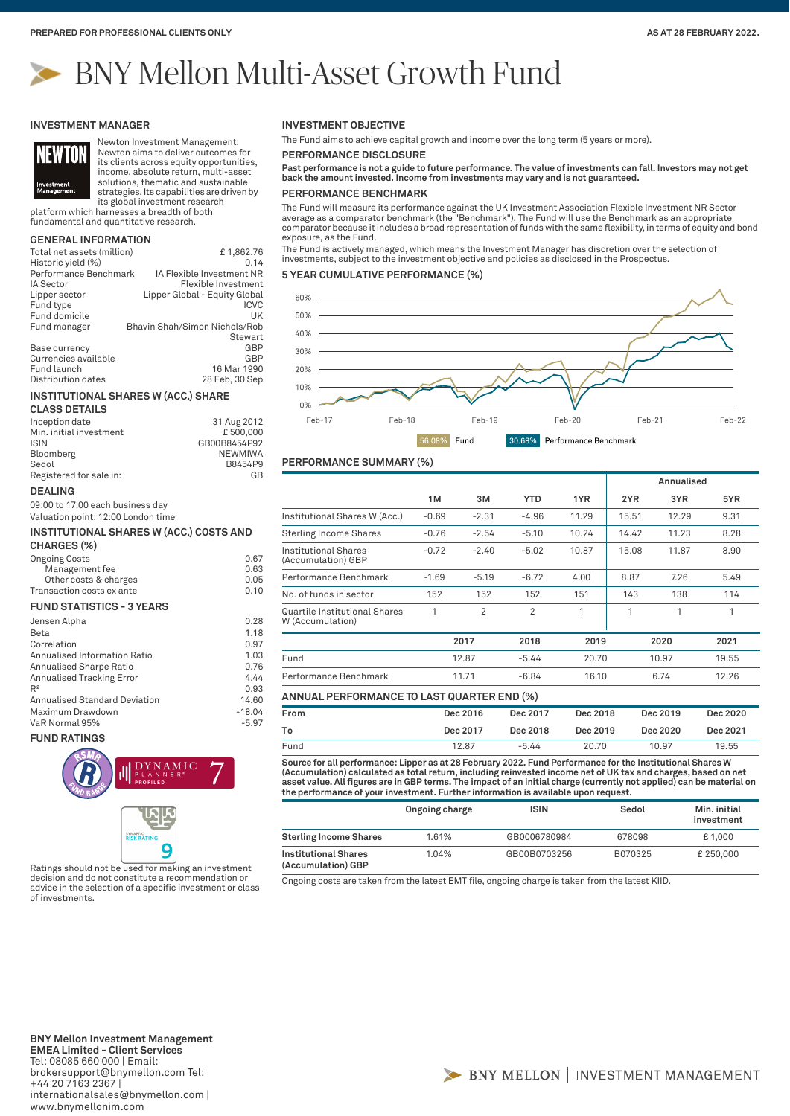# BNY Mellon Multi-Asset Growth Fund

#### **INVESTMENT MANAGER**



Newton Investment Management: Newton aims to deliver outcomes for its clients across equity opportunities, income, absolute return, multi-asset

solutions, thematic and sustainable strategies. Its capabilities are driven by its global investment research

platform which harnesses a breadth of both fundamental and quantitative research.

# **GENERAL INFORMATION**

| Total net assets (million) | £1,862.76                     |
|----------------------------|-------------------------------|
| Historic yield (%)         | 0.14                          |
| Performance Benchmark      | IA Flexible Investment NR     |
| IA Sector                  | Flexible Investment           |
| Lipper sector              | Lipper Global - Equity Global |
| Fund type                  | <b>ICVC</b>                   |
| Fund domicile              | UK                            |
| Fund manager               | Bhavin Shah/Simon Nichols/Rob |
|                            | Stewart                       |
| Base currency              | GBP                           |
| Currencies available       | GBP                           |
| Fund launch                | 16 Mar 1990                   |
| Distribution dates         | 28 Feb, 30 Sep                |
|                            |                               |

#### **INSTITUTIONAL SHARES W (ACC.) SHARE**

| <b>CLASS DETAILS</b>    |              |
|-------------------------|--------------|
| Inception date          | 31 Aug 2012  |
| Min. initial investment | £500,000     |
| <b>ISIN</b>             | GB00B8454P92 |
| Bloomberg               | NEWMIWA      |
| Sedol                   | B8454P9      |
| Registered for sale in: | GB           |

#### **DEALING**

09:00 to 17:00 each business day Valuation point: 12:00 London time

#### **INSTITUTIONAL SHARES W (ACC.) COSTS AND CHARGES (%)**

| <b>Ongoing Costs</b>      | 0.67 |
|---------------------------|------|
| Management fee            | 0.63 |
| Other costs & charges     | 0.05 |
| Transaction costs ex ante | 0.10 |
|                           |      |

## **FUND STATISTICS - 3 YEARS**

| Jensen Alpha                         | 0.28     |
|--------------------------------------|----------|
| Beta                                 | 1.18     |
| Correlation                          | 0.97     |
| Annualised Information Ratio         | 1.03     |
| Annualised Sharpe Ratio              | 0.76     |
| <b>Annualised Tracking Error</b>     | 4.44     |
| $R^2$                                | 0.93     |
| <b>Annualised Standard Deviation</b> | 14.60    |
| Maximum Drawdown                     | $-18.04$ |
| VaR Normal 95%                       | $-5.97$  |
|                                      |          |

#### **FUND RATINGS**



Ratings should not be used for making an investment decision and do not constitute a recommendation or advice in the selection of a specific investment or class of investments.

## **INVESTMENT OBJECTIVE**

The Fund aims to achieve capital growth and income over the long term (5 years or more).

**PERFORMANCE DISCLOSURE**

**Past performance is not a guide to future performance. The value of investments can fall. Investors may not get back the amount invested. Income from investments may vary and is not guaranteed.**

## **PERFORMANCE BENCHMARK**

The Fund will measure its performance against the UK Investment Association Flexible Investment NR Sector average as a comparator benchmark (the "Benchmark"). The Fund will use the Benchmark as an appropriate comparator because it includes a broad representation of funds with the same flexibility, in terms of equity and bond exposure, as the Fund.

The Fund is actively managed, which means the Investment Manager has discretion over the selection of investments, subject to the investment objective and policies as disclosed in the Prospectus.

#### **5 YEAR CUMULATIVE PERFORMANCE (%)**



# **PERFORMANCE SUMMARY (%)**

|                                                   |          |                |                |          | Annualised |          |          |
|---------------------------------------------------|----------|----------------|----------------|----------|------------|----------|----------|
|                                                   | 1M       | 3M             | <b>YTD</b>     | 1YR      | 2YR        | 3YR      | 5YR      |
| Institutional Shares W (Acc.)                     | $-0.69$  | $-2.31$        | $-4.96$        | 11.29    | 15.51      | 12.29    | 9.31     |
| <b>Sterling Income Shares</b>                     | $-0.76$  | $-2.54$        | $-5.10$        | 10.24    | 14.42      | 11.23    | 8.28     |
| Institutional Shares<br>(Accumulation) GBP        | $-0.72$  | $-2.40$        | $-5.02$        | 10.87    | 15.08      | 11.87    | 8.90     |
| Performance Benchmark                             | $-1.69$  | $-5.19$        | $-6.72$        | 4.00     | 8.87       | 7.26     | 5.49     |
| No. of funds in sector                            | 152      | 152            | 152            | 151      | 143        | 138      | 114      |
| Quartile Institutional Shares<br>W (Accumulation) | 1        | $\overline{2}$ | $\overline{2}$ | 1        | 1          | 1        | 1        |
|                                                   |          | 2017           | 2018           | 2019     |            | 2020     | 2021     |
| Fund                                              | 12.87    |                | $-5.44$        | 20.70    |            | 10.97    | 19.55    |
| Performance Benchmark                             | 11.71    |                | $-6.84$        | 16.10    |            | 6.74     | 12.26    |
| <b>ANNUAL PERFORMANCE TO LAST QUARTER END (%)</b> |          |                |                |          |            |          |          |
| From                                              | Dec 2016 |                | Dec 2017       | Dec 2018 |            | Dec 2019 | Dec 2020 |
| To                                                |          | Dec 2017       | Dec 2018       | Dec 2019 |            | Dec 2020 | Dec 2021 |

**Source for all performance: Lipper as at 28 February 2022. Fund Performance for the Institutional Shares W**  Fund 12.87 -5.44 20.70 10.97 19.55

(Accumulation) calculated as total return, including reinvested income net of UK tax and charges, based on net<br>asset value. All figures are in GBP terms. The impact of an initial charge (currently not applied) can be mater **the performance of your investment. Further information is available upon request.**

|                                                   | Ongoing charge | <b>ISIN</b>  | Sedol   | Min. initial<br>investment |
|---------------------------------------------------|----------------|--------------|---------|----------------------------|
| <b>Sterling Income Shares</b>                     | 1.61%          | GB0006780984 | 678098  | £1.000                     |
| <b>Institutional Shares</b><br>(Accumulation) GBP | 1.04%          | GB00B0703256 | B070325 | £250,000                   |

Ongoing costs are taken from the latest EMT file, ongoing charge is taken from the latest KIID.